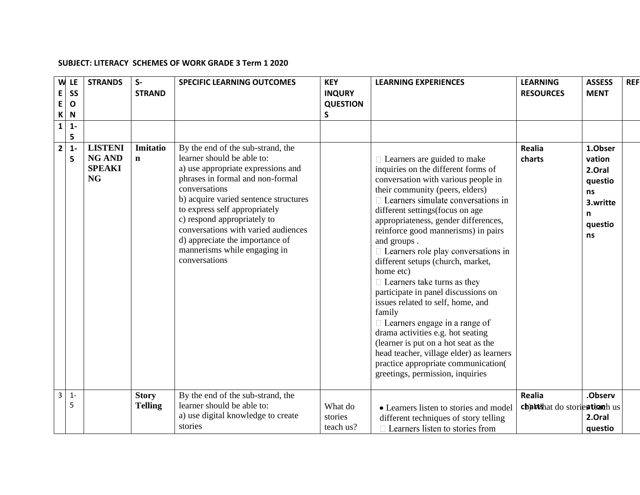## **SUBJECT: LITERACY SCHEMES OF WORK GRADE 3 Term 1 2020**

| W<br>E<br>$\mathsf E$<br>$\mathsf{K}$ | LE<br>SS<br>$\mathbf{o}$<br>N | <b>STRANDS</b>                                                | $S-$<br><b>STRAND</b>          | <b>SPECIFIC LEARNING OUTCOMES</b>                                                                                                                                                                                                                                                                                                                                                              | <b>KEY</b><br><b>INQURY</b><br><b>QUESTION</b><br>$\mathsf{S}$ | <b>LEARNING EXPERIENCES</b>                                                                                                                                                                                                                                                                                                                                                                                                                                                                                                                                                                                                                                                                                                                                                                           | <b>LEARNING</b><br><b>RESOURCES</b>          | <b>ASSESS</b><br><b>MENT</b>                                                   | <b>REF</b> |
|---------------------------------------|-------------------------------|---------------------------------------------------------------|--------------------------------|------------------------------------------------------------------------------------------------------------------------------------------------------------------------------------------------------------------------------------------------------------------------------------------------------------------------------------------------------------------------------------------------|----------------------------------------------------------------|-------------------------------------------------------------------------------------------------------------------------------------------------------------------------------------------------------------------------------------------------------------------------------------------------------------------------------------------------------------------------------------------------------------------------------------------------------------------------------------------------------------------------------------------------------------------------------------------------------------------------------------------------------------------------------------------------------------------------------------------------------------------------------------------------------|----------------------------------------------|--------------------------------------------------------------------------------|------------|
| $\mathbf{1}$                          | $1 -$<br>5                    |                                                               |                                |                                                                                                                                                                                                                                                                                                                                                                                                |                                                                |                                                                                                                                                                                                                                                                                                                                                                                                                                                                                                                                                                                                                                                                                                                                                                                                       |                                              |                                                                                |            |
| $\overline{\mathbf{2}}$               | $1 -$<br>5                    | <b>LISTENI</b><br><b>NG AND</b><br><b>SPEAKI</b><br><b>NG</b> | Imitatio<br>$\mathbf n$        | By the end of the sub-strand, the<br>learner should be able to:<br>a) use appropriate expressions and<br>phrases in formal and non-formal<br>conversations<br>b) acquire varied sentence structures<br>to express self appropriately<br>c) respond appropriately to<br>conversations with varied audiences<br>d) appreciate the importance of<br>mannerisms while engaging in<br>conversations |                                                                | $\Box$ Learners are guided to make<br>inquiries on the different forms of<br>conversation with various people in<br>their community (peers, elders)<br>$\Box$ Learners simulate conversations in<br>different settings (focus on age<br>appropriateness, gender differences,<br>reinforce good mannerisms) in pairs<br>and groups.<br>$\Box$ Learners role play conversations in<br>different setups (church, market,<br>home etc)<br>$\Box$ Learners take turns as they<br>participate in panel discussions on<br>issues related to self, home, and<br>family<br>□ Learners engage in a range of<br>drama activities e.g. hot seating<br>(learner is put on a hot seat as the<br>head teacher, village elder) as learners<br>practice appropriate communication(<br>greetings, permission, inquiries | <b>Realia</b><br>charts                      | 1.Obser<br>vation<br>2.Oral<br>questio<br>ns<br>3.writte<br>n<br>questio<br>ns |            |
| $\overline{3}$                        | $1 -$<br>5                    |                                                               | <b>Story</b><br><b>Telling</b> | By the end of the sub-strand, the<br>learner should be able to:<br>a) use digital knowledge to create<br>stories                                                                                                                                                                                                                                                                               | What do<br>stories<br>teach us?                                | • Learners listen to stories and model<br>different techniques of story telling<br>$\Box$ Learners listen to stories from                                                                                                                                                                                                                                                                                                                                                                                                                                                                                                                                                                                                                                                                             | <b>Realia</b><br>challshat do storiestionhus | .Observ<br>2.Oral<br>questio                                                   |            |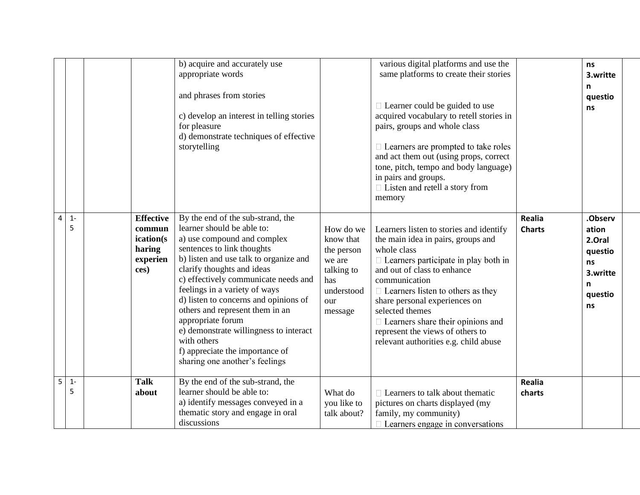|   |            |                                                                       | b) acquire and accurately use<br>appropriate words<br>and phrases from stories<br>c) develop an interest in telling stories<br>for pleasure<br>d) demonstrate techniques of effective<br>storytelling                                                                                                                                                                                                                                                                                                        |                                                                                                     | various digital platforms and use the<br>same platforms to create their stories<br>$\Box$ Learner could be guided to use<br>acquired vocabulary to retell stories in<br>pairs, groups and whole class<br>$\Box$ Learners are prompted to take roles<br>and act them out (using props, correct<br>tone, pitch, tempo and body language)<br>in pairs and groups.<br>$\Box$ Listen and retell a story from<br>memory    |                         | <b>ns</b><br>3.writte<br>n<br>questio<br>ns                                   |  |
|---|------------|-----------------------------------------------------------------------|--------------------------------------------------------------------------------------------------------------------------------------------------------------------------------------------------------------------------------------------------------------------------------------------------------------------------------------------------------------------------------------------------------------------------------------------------------------------------------------------------------------|-----------------------------------------------------------------------------------------------------|----------------------------------------------------------------------------------------------------------------------------------------------------------------------------------------------------------------------------------------------------------------------------------------------------------------------------------------------------------------------------------------------------------------------|-------------------------|-------------------------------------------------------------------------------|--|
| 4 | $1 -$<br>5 | <b>Effective</b><br>commun<br>ication(s<br>haring<br>experien<br>ces) | By the end of the sub-strand, the<br>learner should be able to:<br>a) use compound and complex<br>sentences to link thoughts<br>b) listen and use talk to organize and<br>clarify thoughts and ideas<br>c) effectively communicate needs and<br>feelings in a variety of ways<br>d) listen to concerns and opinions of<br>others and represent them in an<br>appropriate forum<br>e) demonstrate willingness to interact<br>with others<br>f) appreciate the importance of<br>sharing one another's feelings | How do we<br>know that<br>the person<br>we are<br>talking to<br>has<br>understood<br>our<br>message | Learners listen to stories and identify<br>the main idea in pairs, groups and<br>whole class<br>$\Box$ Learners participate in play both in<br>and out of class to enhance<br>communication<br>$\Box$ Learners listen to others as they<br>share personal experiences on<br>selected themes<br>$\Box$ Learners share their opinions and<br>represent the views of others to<br>relevant authorities e.g. child abuse | Realia<br><b>Charts</b> | .Observ<br>ation<br>2.Oral<br>questio<br>ns<br>3.writte<br>n<br>questio<br>ns |  |
| 5 | $1 -$<br>5 | <b>Talk</b><br>about                                                  | By the end of the sub-strand, the<br>learner should be able to:<br>a) identify messages conveyed in a<br>thematic story and engage in oral<br>discussions                                                                                                                                                                                                                                                                                                                                                    | What do<br>you like to<br>talk about?                                                               | $\Box$ Learners to talk about the matic<br>pictures on charts displayed (my<br>family, my community)<br>$\Box$ Learners engage in conversations                                                                                                                                                                                                                                                                      | Realia<br>charts        |                                                                               |  |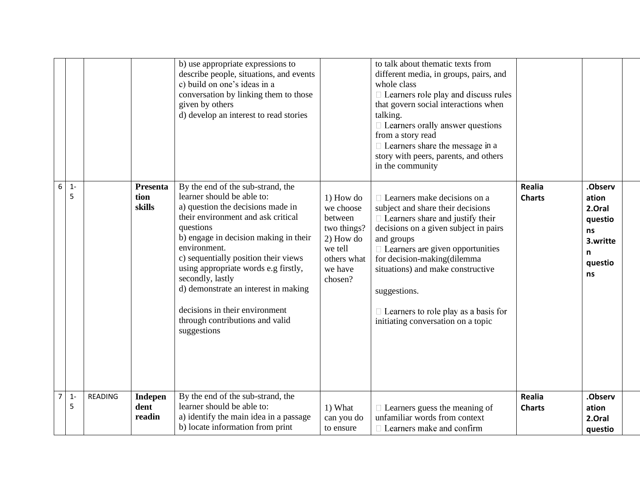|                |            |                |                                  | b) use appropriate expressions to<br>describe people, situations, and events<br>c) build on one's ideas in a<br>conversation by linking them to those<br>given by others<br>d) develop an interest to read stories                                                                                                                                                                                                                               |                                                                                                               | to talk about thematic texts from<br>different media, in groups, pairs, and<br>whole class<br>□ Learners role play and discuss rules<br>that govern social interactions when<br>talking.<br>$\Box$ Learners orally answer questions<br>from a story read<br>□ Learners share the message in a<br>story with peers, parents, and others<br>in the community                                     |                         |                                                                               |  |
|----------------|------------|----------------|----------------------------------|--------------------------------------------------------------------------------------------------------------------------------------------------------------------------------------------------------------------------------------------------------------------------------------------------------------------------------------------------------------------------------------------------------------------------------------------------|---------------------------------------------------------------------------------------------------------------|------------------------------------------------------------------------------------------------------------------------------------------------------------------------------------------------------------------------------------------------------------------------------------------------------------------------------------------------------------------------------------------------|-------------------------|-------------------------------------------------------------------------------|--|
| 6              | $1 -$<br>5 |                | Presenta<br>tion<br>skills       | By the end of the sub-strand, the<br>learner should be able to:<br>a) question the decisions made in<br>their environment and ask critical<br>questions<br>b) engage in decision making in their<br>environment.<br>c) sequentially position their views<br>using appropriate words e.g firstly,<br>secondly, lastly<br>d) demonstrate an interest in making<br>decisions in their environment<br>through contributions and valid<br>suggestions | 1) How do<br>we choose<br>between<br>two things?<br>2) How do<br>we tell<br>others what<br>we have<br>chosen? | $\Box$ Learners make decisions on a<br>subject and share their decisions<br>$\Box$ Learners share and justify their<br>decisions on a given subject in pairs<br>and groups<br>$\Box$ Learners are given opportunities<br>for decision-making(dilemma<br>situations) and make constructive<br>suggestions.<br>$\Box$ Learners to role play as a basis for<br>initiating conversation on a topic | Realia<br><b>Charts</b> | .Observ<br>ation<br>2.Oral<br>questio<br>ns<br>3.writte<br>n<br>questio<br>ns |  |
| $\overline{7}$ | $1 -$<br>5 | <b>READING</b> | <b>Indepen</b><br>dent<br>readin | By the end of the sub-strand, the<br>learner should be able to:<br>a) identify the main idea in a passage<br>b) locate information from print                                                                                                                                                                                                                                                                                                    | 1) What<br>can you do<br>to ensure                                                                            | $\Box$ Learners guess the meaning of<br>unfamiliar words from context<br>$\Box$ Learners make and confirm                                                                                                                                                                                                                                                                                      | Realia<br><b>Charts</b> | .Observ<br>ation<br>2.Oral<br>questio                                         |  |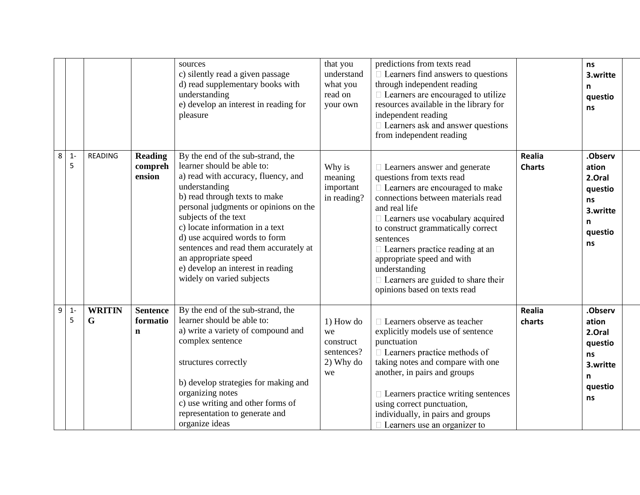|   |            |                    |                                            | sources<br>c) silently read a given passage<br>d) read supplementary books with<br>understanding<br>e) develop an interest in reading for<br>pleasure                                                                                                                                                                                                                                                                            | that you<br>understand<br>what you<br>read on<br>your own       | predictions from texts read<br>$\Box$ Learners find answers to questions<br>through independent reading<br>$\Box$ Learners are encouraged to utilize<br>resources available in the library for<br>independent reading<br>$\Box$ Learners ask and answer questions<br>from independent reading                                                                                                                     |                         | ns<br>3.writte<br>n<br>questio<br>ns                                          |
|---|------------|--------------------|--------------------------------------------|----------------------------------------------------------------------------------------------------------------------------------------------------------------------------------------------------------------------------------------------------------------------------------------------------------------------------------------------------------------------------------------------------------------------------------|-----------------------------------------------------------------|-------------------------------------------------------------------------------------------------------------------------------------------------------------------------------------------------------------------------------------------------------------------------------------------------------------------------------------------------------------------------------------------------------------------|-------------------------|-------------------------------------------------------------------------------|
| 8 | $1 -$<br>5 | <b>READING</b>     | <b>Reading</b><br>compreh<br>ension        | By the end of the sub-strand, the<br>learner should be able to:<br>a) read with accuracy, fluency, and<br>understanding<br>b) read through texts to make<br>personal judgments or opinions on the<br>subjects of the text<br>c) locate information in a text<br>d) use acquired words to form<br>sentences and read them accurately at<br>an appropriate speed<br>e) develop an interest in reading<br>widely on varied subjects | Why is<br>meaning<br>important<br>in reading?                   | □ Learners answer and generate<br>questions from texts read<br>□ Learners are encouraged to make<br>connections between materials read<br>and real life<br>□ Learners use vocabulary acquired<br>to construct grammatically correct<br>sentences<br>□ Learners practice reading at an<br>appropriate speed and with<br>understanding<br>$\Box$ Learners are guided to share their<br>opinions based on texts read | Realia<br><b>Charts</b> | .Observ<br>ation<br>2.Oral<br>questio<br>ns<br>3.writte<br>n<br>questio<br>ns |
| 9 | $1 -$<br>5 | <b>WRITIN</b><br>G | <b>Sentence</b><br>formatio<br>$\mathbf n$ | By the end of the sub-strand, the<br>learner should be able to:<br>a) write a variety of compound and<br>complex sentence<br>structures correctly<br>b) develop strategies for making and<br>organizing notes<br>c) use writing and other forms of<br>representation to generate and<br>organize ideas                                                                                                                           | $1)$ How do<br>we<br>construct<br>sentences?<br>2) Why do<br>we | $\Box$ Learners observe as teacher<br>explicitly models use of sentence<br>punctuation<br>$\Box$ Learners practice methods of<br>taking notes and compare with one<br>another, in pairs and groups<br>$\Box$ Learners practice writing sentences<br>using correct punctuation,<br>individually, in pairs and groups<br>$\Box$ Learners use an organizer to                                                        | <b>Realia</b><br>charts | .Observ<br>ation<br>2.Oral<br>questio<br>ns<br>3.writte<br>n<br>questio<br>ns |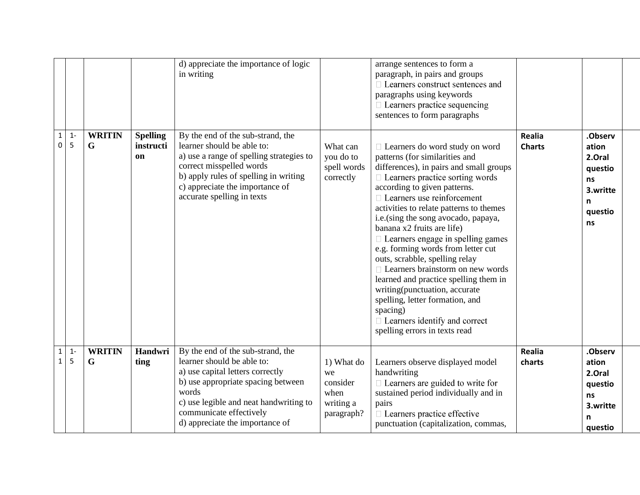|                              |            |                    |                                    | d) appreciate the importance of logic<br>in writing                                                                                                                                                                                                        |                                                                 | arrange sentences to form a<br>paragraph, in pairs and groups<br>□ Learners construct sentences and<br>paragraphs using keywords<br>$\Box$ Learners practice sequencing<br>sentences to form paragraphs                                                                                                                                                                                                                                                                                                                                                                                                                                                                                                       |                         |                                                                                |
|------------------------------|------------|--------------------|------------------------------------|------------------------------------------------------------------------------------------------------------------------------------------------------------------------------------------------------------------------------------------------------------|-----------------------------------------------------------------|---------------------------------------------------------------------------------------------------------------------------------------------------------------------------------------------------------------------------------------------------------------------------------------------------------------------------------------------------------------------------------------------------------------------------------------------------------------------------------------------------------------------------------------------------------------------------------------------------------------------------------------------------------------------------------------------------------------|-------------------------|--------------------------------------------------------------------------------|
| $\mathbf 1$<br>$\pmb{0}$     | $1 -$<br>5 | <b>WRITIN</b><br>G | <b>Spelling</b><br>instructi<br>on | By the end of the sub-strand, the<br>learner should be able to:<br>a) use a range of spelling strategies to<br>correct misspelled words<br>b) apply rules of spelling in writing<br>c) appreciate the importance of<br>accurate spelling in texts          | What can<br>you do to<br>spell words<br>correctly               | □ Learners do word study on word<br>patterns (for similarities and<br>differences), in pairs and small groups<br>$\Box$ Learners practice sorting words<br>according to given patterns.<br>$\Box$ Learners use reinforcement<br>activities to relate patterns to themes<br>i.e.(sing the song avocado, papaya,<br>banana x2 fruits are life)<br>$\Box$ Learners engage in spelling games<br>e.g. forming words from letter cut<br>outs, scrabble, spelling relay<br>$\Box$ Learners brainstorm on new words<br>learned and practice spelling them in<br>writing(punctuation, accurate<br>spelling, letter formation, and<br>spacing)<br>$\Box$ Learners identify and correct<br>spelling errors in texts read | Realia<br><b>Charts</b> | .Observ<br>ation<br>2.Oral<br>questio<br>ns<br>3.writte<br>n<br>questio<br>ns  |
| $\mathbf{1}$<br>$\mathbf{1}$ | $1 -$<br>5 | <b>WRITIN</b><br>G | Handwri<br>ting                    | By the end of the sub-strand, the<br>learner should be able to:<br>a) use capital letters correctly<br>b) use appropriate spacing between<br>words<br>c) use legible and neat handwriting to<br>communicate effectively<br>d) appreciate the importance of | 1) What do<br>we<br>consider<br>when<br>writing a<br>paragraph? | Learners observe displayed model<br>handwriting<br>$\Box$ Learners are guided to write for<br>sustained period individually and in<br>pairs<br>$\Box$ Learners practice effective<br>punctuation (capitalization, commas,                                                                                                                                                                                                                                                                                                                                                                                                                                                                                     | <b>Realia</b><br>charts | .Observ<br>ation<br>2.Oral<br>questio<br><b>ns</b><br>3.writte<br>n<br>questio |